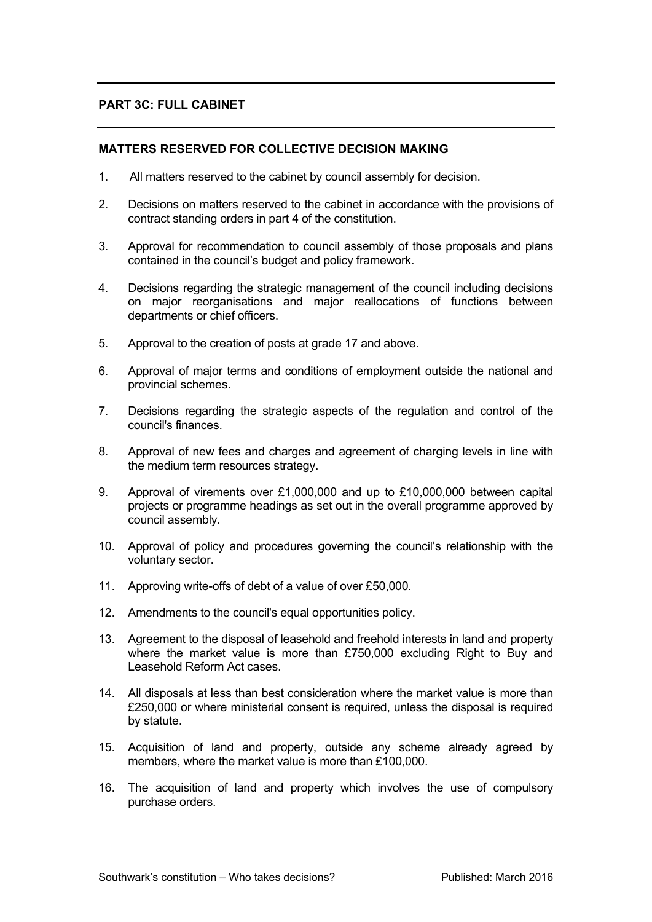# **PART 3C: FULL CABINET**

## **MATTERS RESERVED FOR COLLECTIVE DECISION MAKING**

- 1. All matters reserved to the cabinet by council assembly for decision.
- 2. Decisions on matters reserved to the cabinet in accordance with the provisions of contract standing orders in part 4 of the constitution.
- 3. Approval for recommendation to council assembly of those proposals and plans contained in the council's budget and policy framework.
- 4. Decisions regarding the strategic management of the council including decisions on major reorganisations and major reallocations of functions between departments or chief officers.
- 5. Approval to the creation of posts at grade 17 and above.
- 6. Approval of major terms and conditions of employment outside the national and provincial schemes.
- 7. Decisions regarding the strategic aspects of the regulation and control of the council's finances.
- 8. Approval of new fees and charges and agreement of charging levels in line with the medium term resources strategy.
- 9. Approval of virements over £1,000,000 and up to £10,000,000 between capital projects or programme headings as set out in the overall programme approved by council assembly.
- 10. Approval of policy and procedures governing the council's relationship with the voluntary sector.
- 11. Approving write-offs of debt of a value of over £50,000.
- 12. Amendments to the council's equal opportunities policy.
- 13. Agreement to the disposal of leasehold and freehold interests in land and property where the market value is more than £750,000 excluding Right to Buy and Leasehold Reform Act cases.
- 14. All disposals at less than best consideration where the market value is more than £250,000 or where ministerial consent is required, unless the disposal is required by statute.
- 15. Acquisition of land and property, outside any scheme already agreed by members, where the market value is more than £100,000.
- 16. The acquisition of land and property which involves the use of compulsory purchase orders.